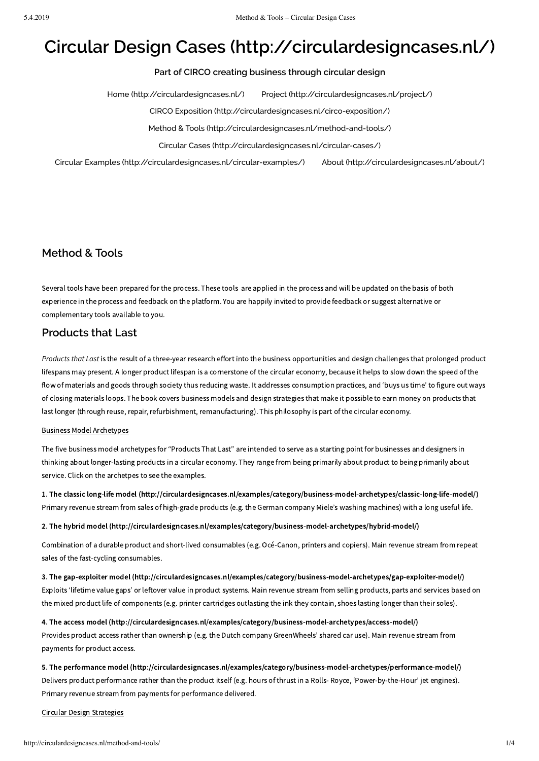# **Circular Design Cases [\(http://circulardesigncases.nl/\)](http://circulardesigncases.nl/)**

## **Part of CIRCO creating business through circular design**

Home [\(http://circulardesigncases.nl/\)](http://circulardesigncases.nl/) Project [\(http://circulardesigncases.nl/project/\)](http://circulardesigncases.nl/project/)

CIRCO Exposition [\(http://circulardesigncases.nl/circo-exposition/\)](http://circulardesigncases.nl/circo-exposition/)

Method & Tools [\(http://circulardesigncases.nl/method-and-tools/\)](http://circulardesigncases.nl/method-and-tools/)

Circular Cases [\(http://circulardesigncases.nl/circular-cases/\)](http://circulardesigncases.nl/circular-cases/)

Circular Examples [\(http://circulardesigncases.nl/circular-examples/\)](http://circulardesigncases.nl/circular-examples/) About [\(http://circulardesigncases.nl/about/\)](http://circulardesigncases.nl/about/)

# **Method & Tools**

Several tools have been prepared for the process. These tools are applied in the process and will be updated on the basis of both experience in the process and feedback on the platform. You are happily invited to provide feedback or suggest alternative or complementary tools available to you.

## **Products that Last**

*Products that Last* is the result of a three-year research effort into the business opportunities and design challenges that prolonged product lifespans may present. A longer product lifespan is a cornerstone of the circular economy, because it helps to slow down the speed of the flow of materials and goods through society thus reducing waste. It addresses consumption practices, and 'buys us time' to figure out ways of closing materials loops. The book covers business models and design strategies that make it possible to earn money on products that last longer (through reuse, repair, refurbishment, remanufacturing). This philosophy is part of the circular economy.

#### Business Model Archetypes

The five business model archetypes for "Products That Last" are intended to serve as a starting point for businesses and designers in thinking about longer-lasting products in a circular economy. They range from being primarily about product to being primarily about service. Click on the archetpes to see the examples.

1. The classic long-life model [\(http://circulardesigncases.nl/examples/category/business-model-archetypes/classic-long-life-model/\)](http://circulardesigncases.nl/examples/category/business-model-archetypes/classic-long-life-model/) Primary revenue stream from sales of high-grade products (e.g. the German company Miele's washing machines) with a long useful life.

2. The hybrid model [\(http://circulardesigncases.nl/examples/category/business-model-archetypes/hybrid-model/\)](http://circulardesigncases.nl/examples/category/business-model-archetypes/hybrid-model/)

Combination of a durable product and short-lived consumables (e.g. Océ-Canon, printers and copiers). Main revenue stream from repeat sales of the fast-cycling consumables.

3. The gap-exploiter model [\(http://circulardesigncases.nl/examples/category/business-model-archetypes/gap-exploiter-model/\)](http://circulardesigncases.nl/examples/category/business-model-archetypes/gap-exploiter-model/) Exploits 'lifetime value gaps' or leftover value in product systems. Main revenue stream from selling products, parts and services based on the mixed product life of components (e.g. printer cartridges outlasting the ink they contain, shoes lasting longer than their soles).

4. The access model [\(http://circulardesigncases.nl/examples/category/business-model-archetypes/access-model/\)](http://circulardesigncases.nl/examples/category/business-model-archetypes/access-model/) Provides product access rather than ownership (e.g. the Dutch company GreenWheels' shared car use). Main revenue stream from payments for product access.

5. The performance model [\(http://circulardesigncases.nl/examples/category/business-model-archetypes/performance-model/\)](http://circulardesigncases.nl/examples/category/business-model-archetypes/performance-model/) Delivers product performance rather than the product itself (e.g. hours of thrust in a Rolls- Royce, 'Power-by-the-Hour' jet engines). Primary revenue stream from payments for performance delivered.

Circular Design Strategies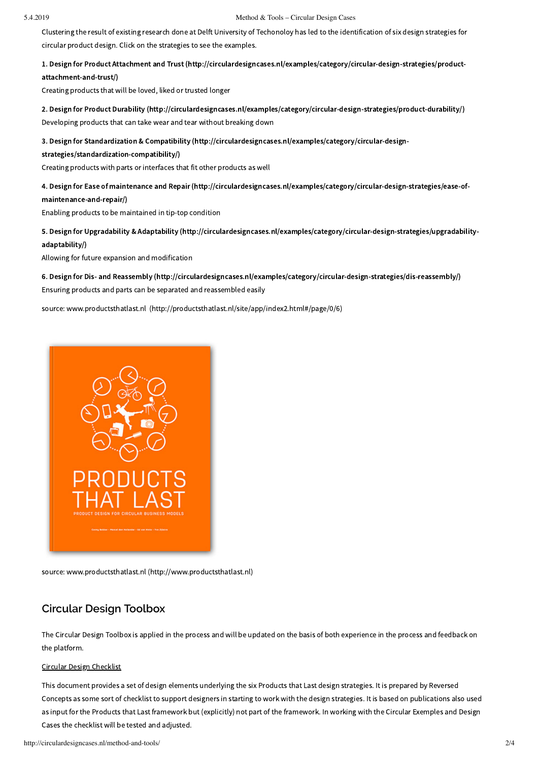#### 5.4.2019 Method & Tools – Circular Design Cases

Clustering the result of existing research done at Delft University of Techonoloy has led to the identification of six design strategies for circular product design. Click on the strategies to see the examples.

1. Design for Product Attachment and Trust [\(http://circulardesigncases.nl/examples/category/circular-design-strategies/product](http://circulardesigncases.nl/examples/category/circular-design-strategies/product-attachment-and-trust/)attachment-and-trust/)

Creating products that will be loved, liked or trusted longer

2. Design for Product Durability [\(http://circulardesigncases.nl/examples/category/circular-design-strategies/product-durability/\)](http://circulardesigncases.nl/examples/category/circular-design-strategies/product-durability/) Developing products that can take wear and tear without breaking down

3. Design for Standardization & Compatibility [\(http://circulardesigncases.nl/examples/category/circular-design-](http://circulardesigncases.nl/examples/category/circular-design-strategies/standardization-compatibility/)

strategies/standardization-compatibility/)

Creating products with parts or interfaces that fit other products as well

4. Design for Ease of maintenance and Repair [\(http://circulardesigncases.nl/examples/category/circular-design-strategies/ease-of](http://circulardesigncases.nl/examples/category/circular-design-strategies/ease-of-maintenance-and-repair/)maintenance-and-repair/)

Enabling products to be maintained in tip-top condition

5. Design for Upgradability & Adaptability [\(http://circulardesigncases.nl/examples/category/circular-design-strategies/upgradability](http://circulardesigncases.nl/examples/category/circular-design-strategies/upgradability-adaptability/)adaptability/)

Allowing for future expansion and modification

6. Design for Dis- and Reassembly [\(http://circulardesigncases.nl/examples/category/circular-design-strategies/dis-reassembly/\)](http://circulardesigncases.nl/examples/category/circular-design-strategies/dis-reassembly/) Ensuring products and parts can be separated and reassembled easily

source: www.productsthatlast.nl [\(http://productsthatlast.nl/site/app/index2.html#/page/0/6\)](http://productsthatlast.nl/site/app/index2.html#/page/0/6)



source: www.productsthatlast.nl [\(http://www.productsthatlast.nl\)](http://www.productsthatlast.nl/)

## **Circular Design Toolbox**

The Circular Design Toolbox is applied in the process and will be updated on the basis of both experience in the process and feedback on the platform.

#### Circular Design Checklist

This document provides a set of design elements underlying the six Products that Last design strategies. It is prepared by Reversed Concepts as some sort of checklist to support designers in starting to work with the design strategies. It is based on publications also used as input for the Products that Last framework but (explicitly) not part of the framework. In working with the Circular Exemples and Design Cases the checklist will be tested and adjusted.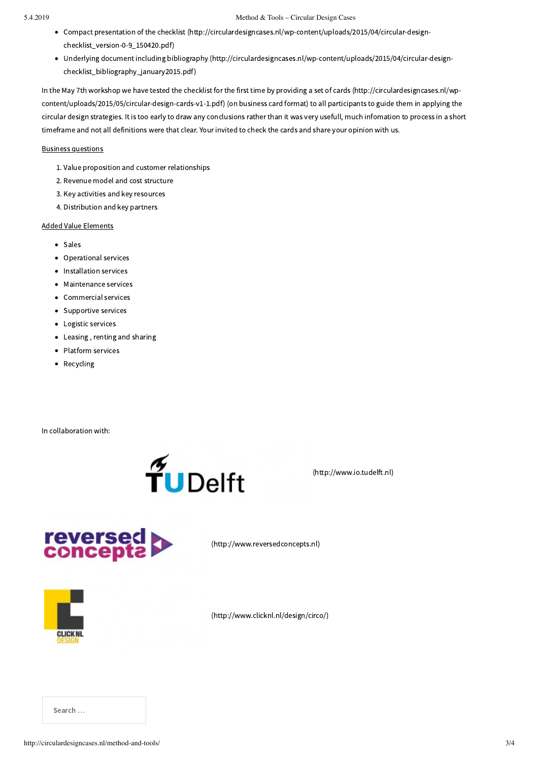- Compact presentation of the checklist [\(http://circulardesigncases.nl/wp-content/uploads/2015/04/circular-design](http://circulardesigncases.nl/wp-content/uploads/2015/04/circular-design-checklist_version-0-9_150420.pdf)checklist\_version-0-9\_150420.pdf)
- Underlying document including bibliography [\(http://circulardesigncases.nl/wp-content/uploads/2015/04/circular-design](http://circulardesigncases.nl/wp-content/uploads/2015/04/circular-design-checklist_bibliography_january2015.pdf)checklist\_bibliography\_january2015.pdf)

In the May 7th workshop we have tested the checklist for the first time by providing a set of cards (http://circulardesigncases.nl/wp[content/uploads/2015/05/circular-design-cards-v1-1.pdf\)](http://circulardesigncases.nl/wp-content/uploads/2015/05/circular-design-cards-v1-1.pdf) (on business card format) to all participants to guide them in applying the circular design strategies. It is too early to draw any conclusions rather than it was very usefull, much infomation to process in a short timeframe and not all definitions were that clear. Your invited to check the cards and share your opinion with us.

#### Business questions

- 1. Value proposition and customer relationships
- 2. Revenue model and cost structure
- 3. Key activities and key resources
- 4. Distribution and key partners

### Added Value Elements

- Sales
- Operational services
- Installation services
- Maintenance services
- Commercial services
- Supportive services
- Logistic services
- $\bullet$ Leasing , renting and sharing
- Platform services  $\bullet$
- Recycling

In collaboration with:



(http://www.io.tudelft.nl)



[\(http://www.reversedconcepts.nl\)](http://www.reversedconcepts.nl/)



[\(http://www.clicknl.nl/design/circo/\)](http://www.clicknl.nl/design/circo/)